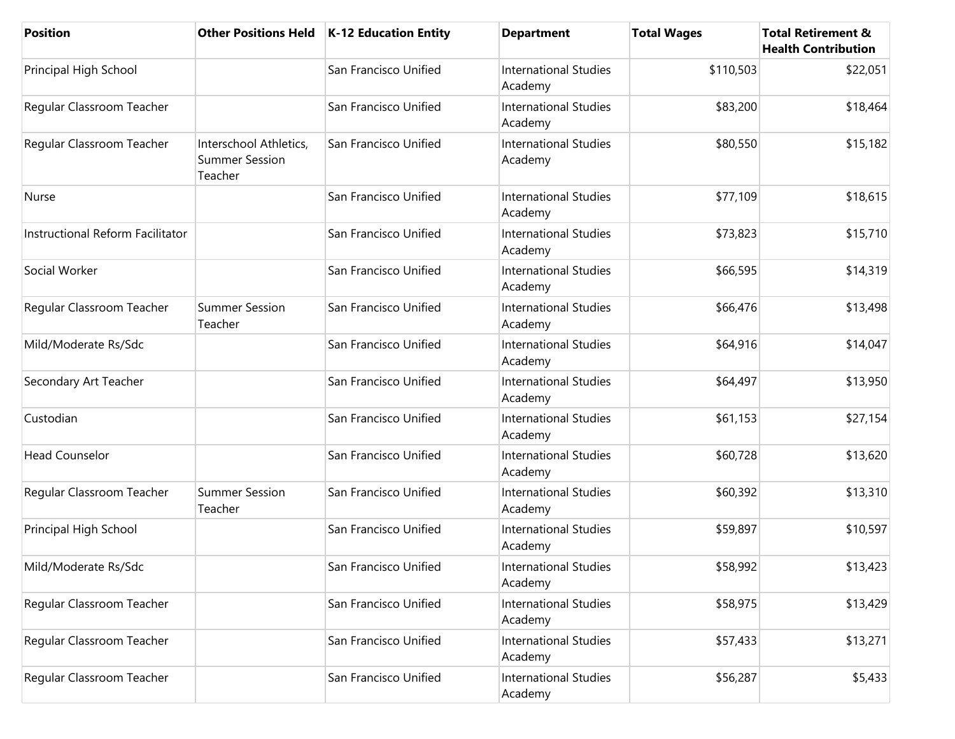| <b>Position</b>                  | <b>Other Positions Held</b>                                | K-12 Education Entity | <b>Department</b>                       | <b>Total Wages</b> | <b>Total Retirement &amp;</b><br><b>Health Contribution</b> |
|----------------------------------|------------------------------------------------------------|-----------------------|-----------------------------------------|--------------------|-------------------------------------------------------------|
| Principal High School            |                                                            | San Francisco Unified | <b>International Studies</b><br>Academy | \$110,503          | \$22,051                                                    |
| Regular Classroom Teacher        |                                                            | San Francisco Unified | <b>International Studies</b><br>Academy | \$83,200           | \$18,464                                                    |
| Regular Classroom Teacher        | Interschool Athletics,<br><b>Summer Session</b><br>Teacher | San Francisco Unified | <b>International Studies</b><br>Academy | \$80,550           | \$15,182                                                    |
| Nurse                            |                                                            | San Francisco Unified | <b>International Studies</b><br>Academy | \$77,109           | \$18,615                                                    |
| Instructional Reform Facilitator |                                                            | San Francisco Unified | <b>International Studies</b><br>Academy | \$73,823           | \$15,710                                                    |
| Social Worker                    |                                                            | San Francisco Unified | <b>International Studies</b><br>Academy | \$66,595           | \$14,319                                                    |
| Regular Classroom Teacher        | <b>Summer Session</b><br>Teacher                           | San Francisco Unified | <b>International Studies</b><br>Academy | \$66,476           | \$13,498                                                    |
| Mild/Moderate Rs/Sdc             |                                                            | San Francisco Unified | <b>International Studies</b><br>Academy | \$64,916           | \$14,047                                                    |
| Secondary Art Teacher            |                                                            | San Francisco Unified | <b>International Studies</b><br>Academy | \$64,497           | \$13,950                                                    |
| Custodian                        |                                                            | San Francisco Unified | <b>International Studies</b><br>Academy | \$61,153           | \$27,154                                                    |
| <b>Head Counselor</b>            |                                                            | San Francisco Unified | <b>International Studies</b><br>Academy | \$60,728           | \$13,620                                                    |
| Regular Classroom Teacher        | <b>Summer Session</b><br>Teacher                           | San Francisco Unified | <b>International Studies</b><br>Academy | \$60,392           | \$13,310                                                    |
| Principal High School            |                                                            | San Francisco Unified | <b>International Studies</b><br>Academy | \$59,897           | \$10,597                                                    |
| Mild/Moderate Rs/Sdc             |                                                            | San Francisco Unified | <b>International Studies</b><br>Academy | \$58,992           | \$13,423                                                    |
| Regular Classroom Teacher        |                                                            | San Francisco Unified | <b>International Studies</b><br>Academy | \$58,975           | \$13,429                                                    |
| Regular Classroom Teacher        |                                                            | San Francisco Unified | <b>International Studies</b><br>Academy | \$57,433           | \$13,271                                                    |
| Regular Classroom Teacher        |                                                            | San Francisco Unified | <b>International Studies</b><br>Academy | \$56,287           | \$5,433                                                     |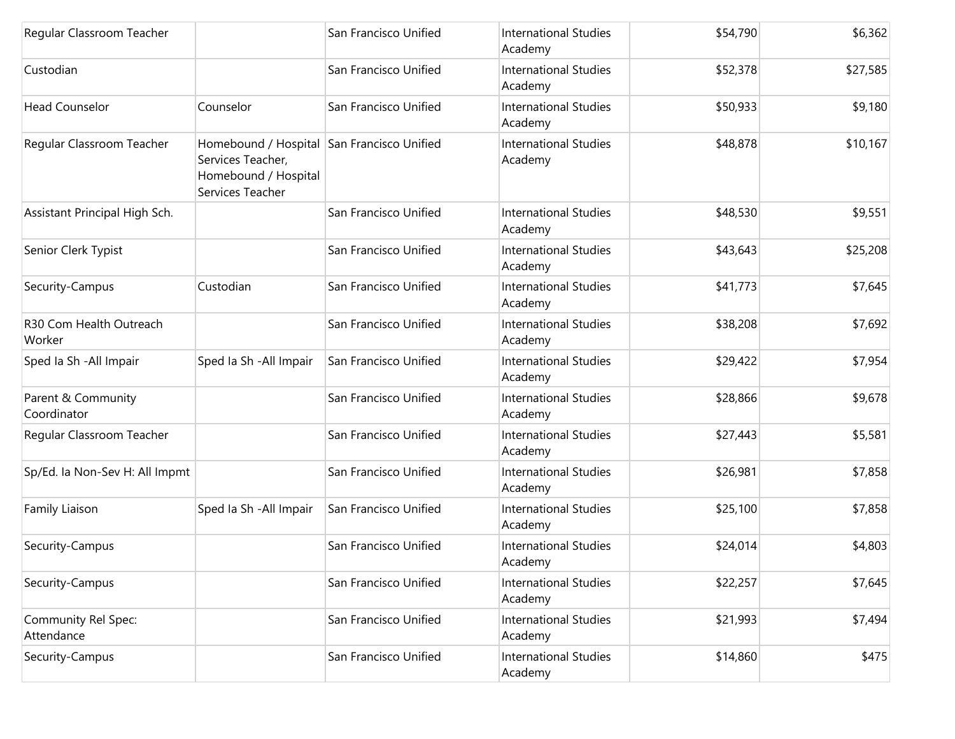| Regular Classroom Teacher         |                                                                                                             | San Francisco Unified | <b>International Studies</b><br>Academy | \$54,790 | \$6,362  |
|-----------------------------------|-------------------------------------------------------------------------------------------------------------|-----------------------|-----------------------------------------|----------|----------|
| Custodian                         |                                                                                                             | San Francisco Unified | <b>International Studies</b><br>Academy | \$52,378 | \$27,585 |
| <b>Head Counselor</b>             | Counselor                                                                                                   | San Francisco Unified | <b>International Studies</b><br>Academy | \$50,933 | \$9,180  |
| Regular Classroom Teacher         | Homebound / Hospital San Francisco Unified<br>Services Teacher,<br>Homebound / Hospital<br>Services Teacher |                       | <b>International Studies</b><br>Academy | \$48,878 | \$10,167 |
| Assistant Principal High Sch.     |                                                                                                             | San Francisco Unified | <b>International Studies</b><br>Academy | \$48,530 | \$9,551  |
| Senior Clerk Typist               |                                                                                                             | San Francisco Unified | <b>International Studies</b><br>Academy | \$43,643 | \$25,208 |
| Security-Campus                   | Custodian                                                                                                   | San Francisco Unified | <b>International Studies</b><br>Academy | \$41,773 | \$7,645  |
| R30 Com Health Outreach<br>Worker |                                                                                                             | San Francisco Unified | <b>International Studies</b><br>Academy | \$38,208 | \$7,692  |
| Sped Ia Sh - All Impair           | Sped Ia Sh - All Impair                                                                                     | San Francisco Unified | <b>International Studies</b><br>Academy | \$29,422 | \$7,954  |
| Parent & Community<br>Coordinator |                                                                                                             | San Francisco Unified | <b>International Studies</b><br>Academy | \$28,866 | \$9,678  |
| Regular Classroom Teacher         |                                                                                                             | San Francisco Unified | <b>International Studies</b><br>Academy | \$27,443 | \$5,581  |
| Sp/Ed. la Non-Sev H: All Impmt    |                                                                                                             | San Francisco Unified | <b>International Studies</b><br>Academy | \$26,981 | \$7,858  |
| Family Liaison                    | Sped Ia Sh - All Impair                                                                                     | San Francisco Unified | <b>International Studies</b><br>Academy | \$25,100 | \$7,858  |
| Security-Campus                   |                                                                                                             | San Francisco Unified | <b>International Studies</b><br>Academy | \$24,014 | \$4,803  |
| Security-Campus                   |                                                                                                             | San Francisco Unified | <b>International Studies</b><br>Academy | \$22,257 | \$7,645  |
| Community Rel Spec:<br>Attendance |                                                                                                             | San Francisco Unified | <b>International Studies</b><br>Academy | \$21,993 | \$7,494  |
| Security-Campus                   |                                                                                                             | San Francisco Unified | <b>International Studies</b><br>Academy | \$14,860 | \$475    |